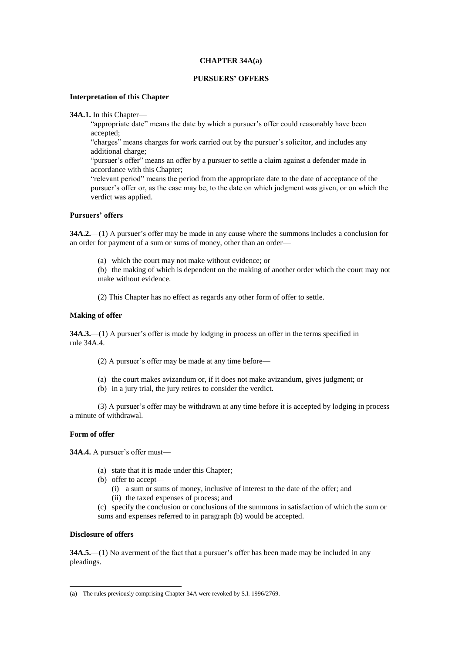## **CHAPTER 34A(a)**

## **PURSUERS' OFFERS**

## **Interpretation of this Chapter**

**34A.1.** In this Chapter—

"appropriate date" means the date by which a pursuer's offer could reasonably have been accepted;

"charges" means charges for work carried out by the pursuer's solicitor, and includes any additional charge;

"pursuer's offer" means an offer by a pursuer to settle a claim against a defender made in accordance with this Chapter;

"relevant period" means the period from the appropriate date to the date of acceptance of the pursuer's offer or, as the case may be, to the date on which judgment was given, or on which the verdict was applied.

## **Pursuers' offers**

**34A.2.**—(1) A pursuer's offer may be made in any cause where the summons includes a conclusion for an order for payment of a sum or sums of money, other than an order—

(a) which the court may not make without evidence; or

(b) the making of which is dependent on the making of another order which the court may not make without evidence.

(2) This Chapter has no effect as regards any other form of offer to settle.

## **Making of offer**

**34A.3.**—(1) A pursuer's offer is made by lodging in process an offer in the terms specified in rule 34A.4.

- (2) A pursuer's offer may be made at any time before—
- (a) the court makes avizandum or, if it does not make avizandum, gives judgment; or
- (b) in a jury trial, the jury retires to consider the verdict.

(3) A pursuer's offer may be withdrawn at any time before it is accepted by lodging in process a minute of withdrawal.

# **Form of offer**

**34A.4.** A pursuer's offer must—

- (a) state that it is made under this Chapter;
- (b) offer to accept—
	- (i) a sum or sums of money, inclusive of interest to the date of the offer; and
	- (ii) the taxed expenses of process; and
- (c) specify the conclusion or conclusions of the summons in satisfaction of which the sum or sums and expenses referred to in paragraph (b) would be accepted.

#### **Disclosure of offers**

 $\overline{a}$ 

**34A.5.**—(1) No averment of the fact that a pursuer's offer has been made may be included in any pleadings.

<sup>(</sup>**a**) The rules previously comprising Chapter 34A were revoked by S.I. 1996/2769.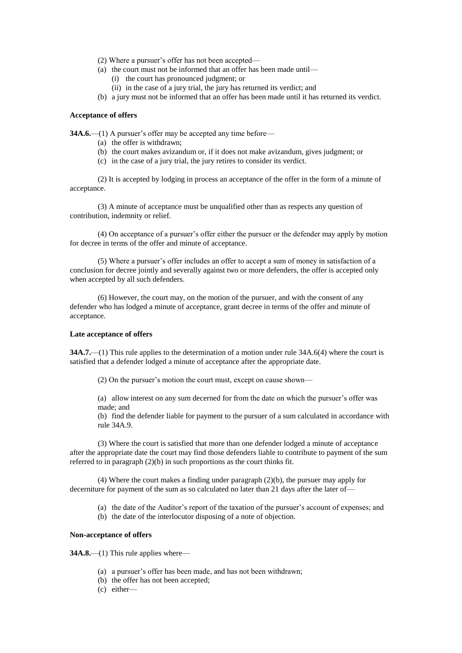- (2) Where a pursuer's offer has not been accepted—
- (a) the court must not be informed that an offer has been made until—
	- (i) the court has pronounced judgment; or
	- (ii) in the case of a jury trial, the jury has returned its verdict; and
- (b) a jury must not be informed that an offer has been made until it has returned its verdict.

## **Acceptance of offers**

**34A.6.**—(1) A pursuer's offer may be accepted any time before—

- (a) the offer is withdrawn;
- (b) the court makes avizandum or, if it does not make avizandum, gives judgment; or
- (c) in the case of a jury trial, the jury retires to consider its verdict.

(2) It is accepted by lodging in process an acceptance of the offer in the form of a minute of acceptance.

(3) A minute of acceptance must be unqualified other than as respects any question of contribution, indemnity or relief.

(4) On acceptance of a pursuer's offer either the pursuer or the defender may apply by motion for decree in terms of the offer and minute of acceptance.

(5) Where a pursuer's offer includes an offer to accept a sum of money in satisfaction of a conclusion for decree jointly and severally against two or more defenders, the offer is accepted only when accepted by all such defenders.

(6) However, the court may, on the motion of the pursuer, and with the consent of any defender who has lodged a minute of acceptance, grant decree in terms of the offer and minute of acceptance.

## **Late acceptance of offers**

**34A.7.**—(1) This rule applies to the determination of a motion under rule 34A.6(4) where the court is satisfied that a defender lodged a minute of acceptance after the appropriate date.

(2) On the pursuer's motion the court must, except on cause shown—

(a) allow interest on any sum decerned for from the date on which the pursuer's offer was made; and

(b) find the defender liable for payment to the pursuer of a sum calculated in accordance with rule 34A.9.

(3) Where the court is satisfied that more than one defender lodged a minute of acceptance after the appropriate date the court may find those defenders liable to contribute to payment of the sum referred to in paragraph (2)(b) in such proportions as the court thinks fit.

(4) Where the court makes a finding under paragraph (2)(b), the pursuer may apply for decerniture for payment of the sum as so calculated no later than 21 days after the later of—

- (a) the date of the Auditor's report of the taxation of the pursuer's account of expenses; and
- (b) the date of the interlocutor disposing of a note of objection.

#### **Non-acceptance of offers**

**34A.8.—(1)** This rule applies where—

- (a) a pursuer's offer has been made, and has not been withdrawn;
- (b) the offer has not been accepted;
- (c) either—